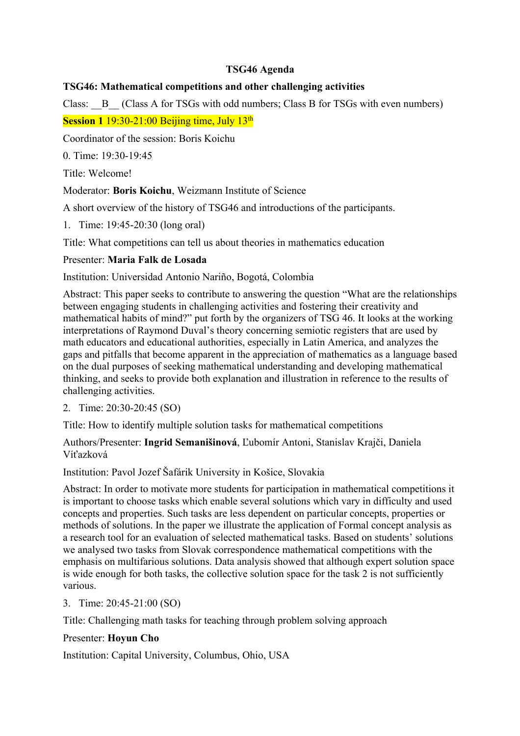## **TSG46 Agenda**

## **TSG46: Mathematical competitions and other challenging activities**

Class: B (Class A for TSGs with odd numbers; Class B for TSGs with even numbers) **Session 1** 19:30-21:00 Beijing time, July 13<sup>th</sup>

Coordinator of the session: Boris Koichu

0. Time: 19:30-19:45

Title: Welcome!

Moderator: **Boris Koichu**, Weizmann Institute of Science

A short overview of the history of TSG46 and introductions of the participants.

1. Time: 19:45-20:30 (long oral)

Title: What competitions can tell us about theories in mathematics education

### Presenter: **Maria Falk de Losada**

Institution: Universidad Antonio Nariño, Bogotá, Colombia

Abstract: This paper seeks to contribute to answering the question "What are the relationships between engaging students in challenging activities and fostering their creativity and mathematical habits of mind?" put forth by the organizers of TSG 46. It looks at the working interpretations of Raymond Duval's theory concerning semiotic registers that are used by math educators and educational authorities, especially in Latin America, and analyzes the gaps and pitfalls that become apparent in the appreciation of mathematics as a language based on the dual purposes of seeking mathematical understanding and developing mathematical thinking, and seeks to provide both explanation and illustration in reference to the results of challenging activities.

#### 2. Time: 20:30-20:45 (SO)

Title: How to identify multiple solution tasks for mathematical competitions

Authors/Presenter: **Ingrid Semanišinová**, Ľubomír Antoni, Stanislav Krajči, Daniela Víťazková

Institution: Pavol Jozef Šafárik University in Košice, Slovakia

Abstract: In order to motivate more students for participation in mathematical competitions it is important to choose tasks which enable several solutions which vary in difficulty and used concepts and properties. Such tasks are less dependent on particular concepts, properties or methods of solutions. In the paper we illustrate the application of Formal concept analysis as a research tool for an evaluation of selected mathematical tasks. Based on students' solutions we analysed two tasks from Slovak correspondence mathematical competitions with the emphasis on multifarious solutions. Data analysis showed that although expert solution space is wide enough for both tasks, the collective solution space for the task 2 is not sufficiently various.

3. Time: 20:45-21:00 (SO)

Title: Challenging math tasks for teaching through problem solving approach

## Presenter: **Hoyun Cho**

Institution: Capital University, Columbus, Ohio, USA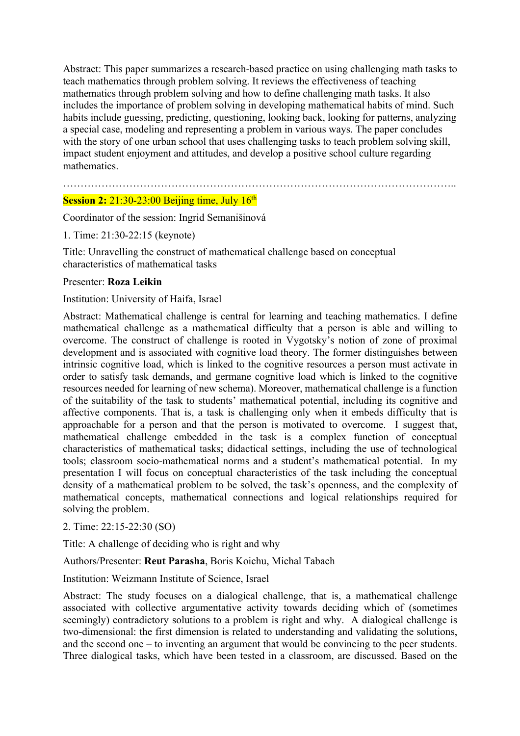Abstract: This paper summarizes a research-based practice on using challenging math tasks to teach mathematics through problem solving. It reviews the effectiveness of teaching mathematics through problem solving and how to define challenging math tasks. It also includes the importance of problem solving in developing mathematical habits of mind. Such habits include guessing, predicting, questioning, looking back, looking for patterns, analyzing a special case, modeling and representing a problem in various ways. The paper concludes with the story of one urban school that uses challenging tasks to teach problem solving skill, impact student enjoyment and attitudes, and develop a positive school culture regarding mathematics.

## ………………………………………………………………………………………………….. **Session 2:** 21:30-23:00 Beijing time, July 16<sup>th</sup>

Coordinator of the session: Ingrid Semanišinová

1. Time: 21:30-22:15 (keynote)

Title: Unravelling the construct of mathematical challenge based on conceptual characteristics of mathematical tasks

#### Presenter: **Roza Leikin**

Institution: University of Haifa, Israel

Abstract: Mathematical challenge is central for learning and teaching mathematics. I define mathematical challenge as a mathematical difficulty that a person is able and willing to overcome. The construct of challenge is rooted in Vygotsky's notion of zone of proximal development and is associated with cognitive load theory. The former distinguishes between intrinsic cognitive load, which is linked to the cognitive resources a person must activate in order to satisfy task demands, and germane cognitive load which is linked to the cognitive resources needed for learning of new schema). Moreover, mathematical challenge is a function of the suitability of the task to students' mathematical potential, including its cognitive and affective components. That is, a task is challenging only when it embeds difficulty that is approachable for a person and that the person is motivated to overcome. I suggest that, mathematical challenge embedded in the task is a complex function of conceptual characteristics of mathematical tasks; didactical settings, including the use of technological tools; classroom socio-mathematical norms and a student's mathematical potential. In my presentation I will focus on conceptual characteristics of the task including the conceptual density of a mathematical problem to be solved, the task's openness, and the complexity of mathematical concepts, mathematical connections and logical relationships required for solving the problem.

#### 2. Time: 22:15-22:30 (SO)

Title: A challenge of deciding who is right and why

Authors/Presenter: **Reut Parasha**, Boris Koichu, Michal Tabach

Institution: Weizmann Institute of Science, Israel

Abstract: The study focuses on a dialogical challenge, that is, a mathematical challenge associated with collective argumentative activity towards deciding which of (sometimes seemingly) contradictory solutions to a problem is right and why. A dialogical challenge is two-dimensional: the first dimension is related to understanding and validating the solutions, and the second one – to inventing an argument that would be convincing to the peer students. Three dialogical tasks, which have been tested in a classroom, are discussed. Based on the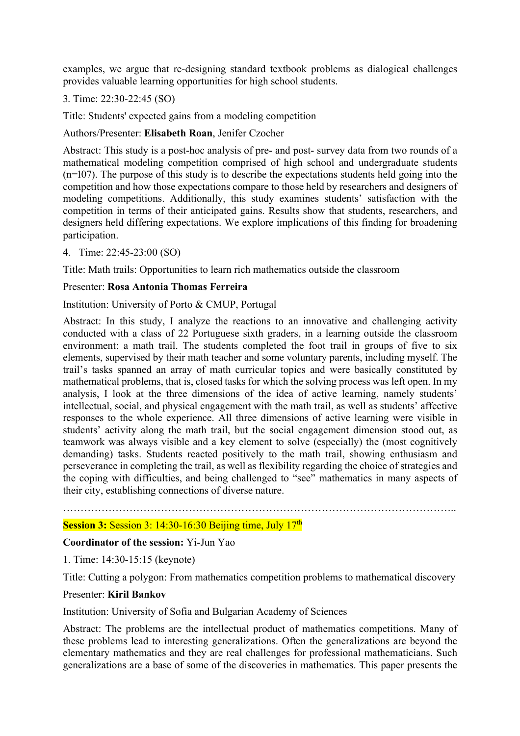examples, we argue that re-designing standard textbook problems as dialogical challenges provides valuable learning opportunities for high school students.

s. Time: 22:30-22:45 (SO)

Title: Students' expected gains from a modeling competition

Authors/Presenter: **Elisabeth Roan**, Jenifer Czocher

Abstract: This study is a post-hoc analysis of pre- and post- survey data from two rounds of a mathematical modeling competition comprised of high school and undergraduate students  $(n=107)$ . The purpose of this study is to describe the expectations students held going into the competition and how those expectations compare to those held by researchers and designers of modeling competitions. Additionally, this study examines students' satisfaction with the competition in terms of their anticipated gains. Results show that students, researchers, and designers held differing expectations. We explore implications of this finding for broadening participation.

4. Time: 22:45-23:00 (SO)

Title: Math trails: Opportunities to learn rich mathematics outside the classroom

### Presenter: **Rosa Antonia Thomas Ferreira**

Institution: University of Porto & CMUP, Portugal

Abstract: In this study, I analyze the reactions to an innovative and challenging activity conducted with a class of 22 Portuguese sixth graders, in a learning outside the classroom environment: a math trail. The students completed the foot trail in groups of five to six elements, supervised by their math teacher and some voluntary parents, including myself. The trail's tasks spanned an array of math curricular topics and were basically constituted by mathematical problems, that is, closed tasks for which the solving process was left open. In my analysis, I look at the three dimensions of the idea of active learning, namely students' intellectual, social, and physical engagement with the math trail, as well as students' affective responses to the whole experience. All three dimensions of active learning were visible in students' activity along the math trail, but the social engagement dimension stood out, as teamwork was always visible and a key element to solve (especially) the (most cognitively demanding) tasks. Students reacted positively to the math trail, showing enthusiasm and perseverance in completing the trail, as well as flexibility regarding the choice of strategies and the coping with difficulties, and being challenged to "see" mathematics in many aspects of their city, establishing connections of diverse nature.

# **Session 3: Session 3: 14:30-16:30 Beijing time, July 17<sup>th</sup>**

## **Coordinator of the session:** Yi-Jun Yao

1. Time: 14:30-15:15 (keynote)

Title: Cutting a polygon: From mathematics competition problems to mathematical discovery

…………………………………………………………………………………………………..

#### Presenter: **Kiril Bankov**

Institution: University of Sofia and Bulgarian Academy of Sciences

Abstract: The problems are the intellectual product of mathematics competitions. Many of these problems lead to interesting generalizations. Often the generalizations are beyond the elementary mathematics and they are real challenges for professional mathematicians. Such generalizations are a base of some of the discoveries in mathematics. This paper presents the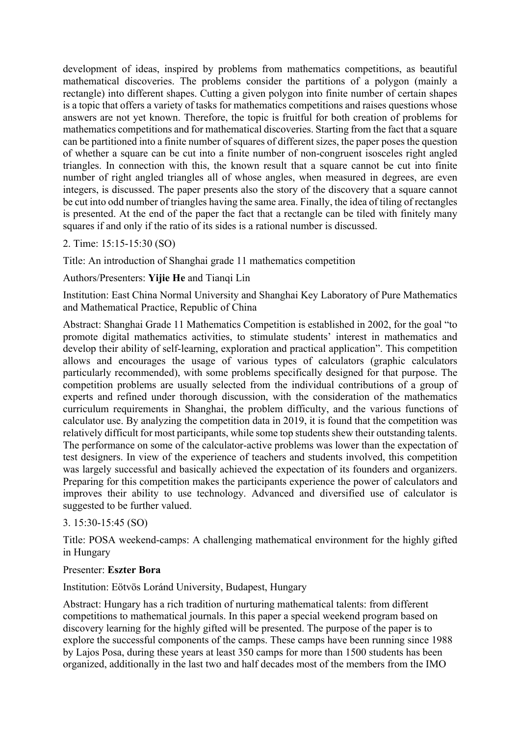development of ideas, inspired by problems from mathematics competitions, as beautiful mathematical discoveries. The problems consider the partitions of a polygon (mainly a rectangle) into different shapes. Cutting a given polygon into finite number of certain shapes is a topic that offers a variety of tasks for mathematics competitions and raises questions whose answers are not yet known. Therefore, the topic is fruitful for both creation of problems for mathematics competitions and for mathematical discoveries. Starting from the fact that a square can be partitioned into a finite number of squares of different sizes, the paper poses the question of whether a square can be cut into a finite number of non-congruent isosceles right angled triangles. In connection with this, the known result that a square cannot be cut into finite number of right angled triangles all of whose angles, when measured in degrees, are even integers, is discussed. The paper presents also the story of the discovery that a square cannot be cut into odd number of triangles having the same area. Finally, the idea of tiling of rectangles is presented. At the end of the paper the fact that a rectangle can be tiled with finitely many squares if and only if the ratio of its sides is a rational number is discussed.

### 2. Time: 15:15-15:30 (SO)

Title: An introduction of Shanghai grade 11 mathematics competition

Authors/Presenters: **Yijie He** and Tianqi Lin

Institution: East China Normal University and Shanghai Key Laboratory of Pure Mathematics and Mathematical Practice, Republic of China

Abstract: Shanghai Grade 11 Mathematics Competition is established in 2002, for the goal "to promote digital mathematics activities, to stimulate students' interest in mathematics and develop their ability of self-learning, exploration and practical application". This competition allows and encourages the usage of various types of calculators (graphic calculators particularly recommended), with some problems specifically designed for that purpose. The competition problems are usually selected from the individual contributions of a group of experts and refined under thorough discussion, with the consideration of the mathematics curriculum requirements in Shanghai, the problem difficulty, and the various functions of calculator use. By analyzing the competition data in 2019, it is found that the competition was relatively difficult for most participants, while some top students shew their outstanding talents. The performance on some of the calculator-active problems was lower than the expectation of test designers. In view of the experience of teachers and students involved, this competition was largely successful and basically achieved the expectation of its founders and organizers. Preparing for this competition makes the participants experience the power of calculators and improves their ability to use technology. Advanced and diversified use of calculator is suggested to be further valued.

#### 3. 15:30-15:45 (SO)

Title: POSA weekend-camps: A challenging mathematical environment for the highly gifted in Hungary

#### Presenter: **Eszter Bora**

Institution: Eötvös Loránd University, Budapest, Hungary

Abstract: Hungary has a rich tradition of nurturing mathematical talents: from different competitions to mathematical journals. In this paper a special weekend program based on discovery learning for the highly gifted will be presented. The purpose of the paper is to explore the successful components of the camps. These camps have been running since 1988 by Lajos Posa, during these years at least 350 camps for more than 1500 students has been organized, additionally in the last two and half decades most of the members from the IMO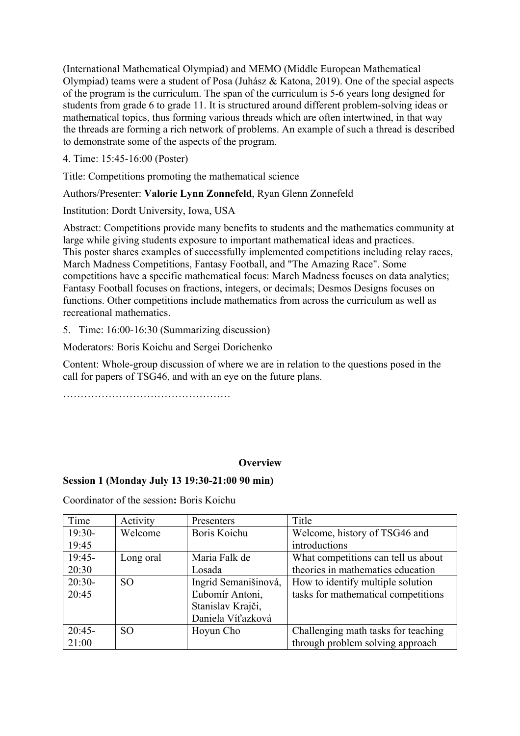(International Mathematical Olympiad) and MEMO (Middle European Mathematical Olympiad) teams were a student of Posa (Juhász & Katona, 2019). One of the special aspects of the program is the curriculum. The span of the curriculum is 5-6 years long designed for students from grade 6 to grade 11. It is structured around different problem-solving ideas or mathematical topics, thus forming various threads which are often intertwined, in that way the threads are forming a rich network of problems. An example of such a thread is described to demonstrate some of the aspects of the program.

4. Time: 15:45-16:00 (Poster)

Title: Competitions promoting the mathematical science

## Authors/Presenter: **Valorie Lynn Zonnefeld**, Ryan Glenn Zonnefeld

Institution: Dordt University, Iowa, USA

Abstract: Competitions provide many benefits to students and the mathematics community at large while giving students exposure to important mathematical ideas and practices. This poster shares examples of successfully implemented competitions including relay races, March Madness Competitions, Fantasy Football, and "The Amazing Race". Some competitions have a specific mathematical focus: March Madness focuses on data analytics; Fantasy Football focuses on fractions, integers, or decimals; Desmos Designs focuses on functions. Other competitions include mathematics from across the curriculum as well as recreational mathematics.

5. Time: 16:00-16:30 (Summarizing discussion)

Moderators: Boris Koichu and Sergei Dorichenko

Content: Whole-group discussion of where we are in relation to the questions posed in the call for papers of TSG46, and with an eye on the future plans.

…………………………………………

## **Overview**

## **Session 1 (Monday July 13 19:30-21:00 90 min)**

Coordinator of the session**:** Boris Koichu

| Time     | Activity        | Presenters           | Title                               |
|----------|-----------------|----------------------|-------------------------------------|
| $19:30-$ | Welcome         | Boris Koichu         | Welcome, history of TSG46 and       |
| 19:45    |                 |                      | introductions                       |
| $19:45-$ | Long oral       | Maria Falk de        | What competitions can tell us about |
| 20:30    |                 | Losada               | theories in mathematics education   |
| $20:30-$ | SO <sub>1</sub> | Ingrid Semanišinová, | How to identify multiple solution   |
| 20:45    |                 | Ľubomír Antoni,      | tasks for mathematical competitions |
|          |                 | Stanislav Krajči,    |                                     |
|          |                 | Daniela Víťazková    |                                     |
| $20:45-$ | SO.             | Hoyun Cho            | Challenging math tasks for teaching |
| 21:00    |                 |                      | through problem solving approach    |